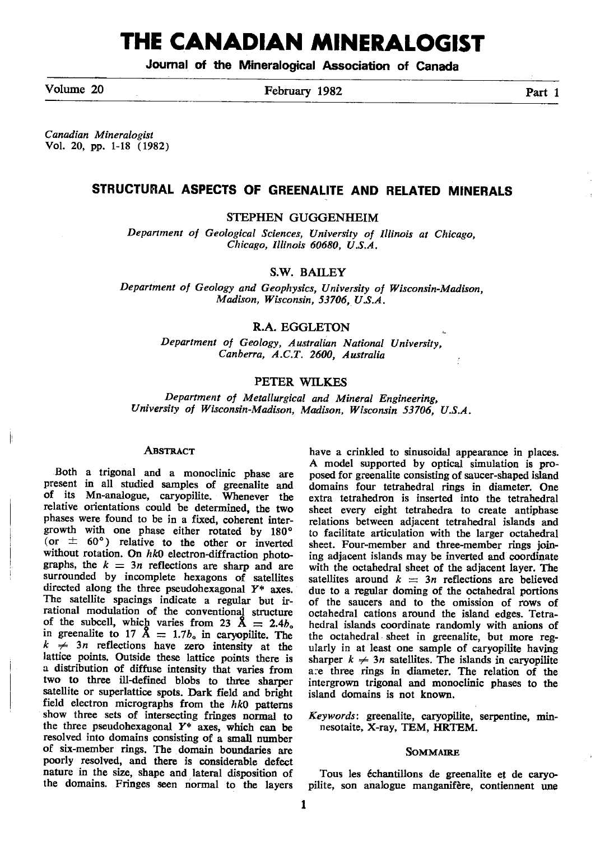# THE CANADIAN MINERALOGIST

Joumal of the Mineralogical Association of Ganada

Volume 20 **February 1982** Part 1

Canadian Mineralogist Vol. 20, pp. 1-18 (1982)

# STRUCTURAL ASPECTS OF GREENALITE AND RELATED MINERALS

STEPHEN GUGGENHEIM

Department of Geological Sciences, University of Illinois at Chicago, Chicago, Illinois 60680, U.S,A.

S.W. BAILEY

Department of Geology and Geophysics, University of Wisconsin-Madison, Madison, Wisconsin, 53706, US.A.

# R.A. EGGLETON

Department of Geology, Australian National University, Canberra, A.C.T. 2600, Australia

## PETER WILKES

Department of Metallurgical and Mineral Engineering, University of Wisconsin-Madison, Madison, Wisconsin 53706, U.S.A.

#### **ABSTRACT**

Both a trigonal and a monoclinic phase are present in all studied samples of greenalite and of its Mn-analogue, caryopilite. Whenever tho relative orientations could be determined, the two phases were found to be in a fixed, coherent intergrowth with one phase either rotated by 180° (or  $\pm$  60°) relative to the other or inverted without rotation. On  $hk0$  electron-diffraction photographs, the  $k = 3n$  reflections are sharp and are surrounded by incomplete hexagons of satellites directed along the three pseudohexagonal  $Y^*$  axes. The satellite spacings indicate a regular but irrational modulation of the conventional structure<br>of the subcell, which varies from 23  $\AA = 2.4b_o$ in greenalite to 17  $\AA = 1.7b_0$  in caryopilite. The  $k \neq 3n$  reflections have zero intensity at the lattice points. Outside these lattice points there is a distribution of diffuse intensity that varies from two to three ill-defined blobs to three sharper satellite or superlattice spots. Dark field and bright field electron micrographs from the  $hk0$  patterns show three sets of intersecting fringes normal to the three pseudohexagonal  $Y^*$  axes, which can be resolved into domains consisting of a small number of six-member rings. The domain boundaries are poorly resolved, and there is considerable defect nature in the size, shape and lateral disposition of the domains. Fringes seen riormal to the layers

have a crinkled to sinusoidal appearance in places. A model supported by optical simulation is proposed for greenalite consisting of saucer-shaped island domains four tetrahedral rings in diameter. One extra tetrahedron is inserted into the tetrahedral sheet every eight tetrahedra to create antiphase relations between adjacent tetrahedral islands and to facilitate articulation with the larger octahedral sheet. Four-member and three-member rings joining adjacent islands may be inverted and coordinate with the octahedral sheet of the adjacent layer. The satellites around  $k = 3n$  reflections are believed due to a regular doming of the octahedral portions of the saucers and to the omission of rows of octahedral cations around the island edges. Tetrahedral islands coordinate randomly with anions of the octahedral sheet in greenalite, but more regularly in at least one sample of caryopilite having sharper  $k \neq 3n$  satellites. The islands in caryopilite a:e three rings in diameter. The relation of the intergrown trigonal and monoclinic phases to the island domains is not known,

Keywords: greenalite, caryopilite, serpentine, minnesotaite, X-ray, TEM, HRTEM.

## SOMMAIRE

Tous les 6chantillons de greenalite et de caryopilite, son analogue manganifère, contiennent une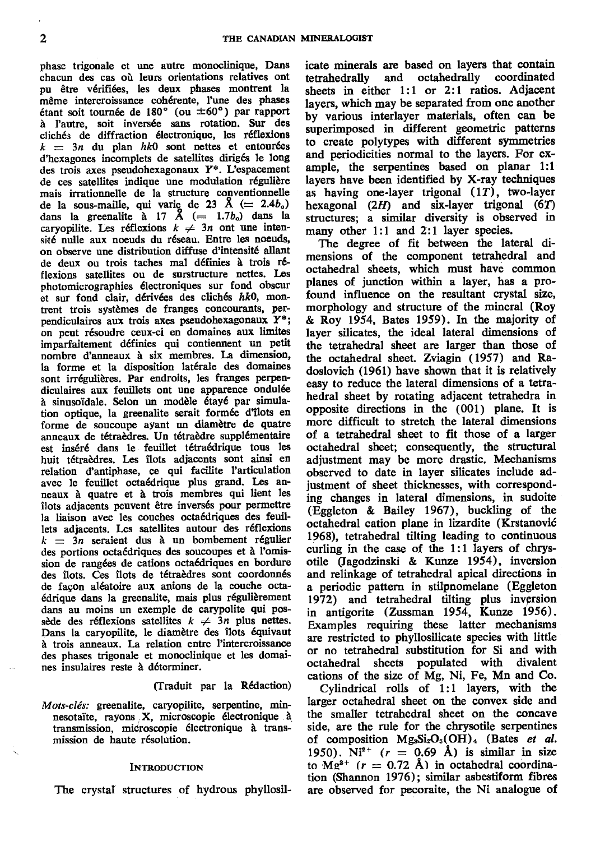phase trigonale et une autre monoclinique, Dans chacun des cas où leurs orientations relatives ont pu être vérifiées, les deux phases montrent la même intercroissance cohérente, l'une des phases étant soit tournée de 180 $^{\circ}$  (ou  $\pm 60^{\circ}$ ) par rapport<br>à l'autre, soit inversée sans rotation. Sur des clichés de diffraction électronique, les réflexions  $k = 3n$  du plan hk0 sont nettes et entourées d'hexagones incomplets de satellites dirigés le long des trois axes pseudohexagonaux Y\*. L'espacement de ces satellites indique une modulation régulière mais irrationnelle de la structure conventionnelle de la sous-maille, qui varie de 23 Å (= 2.4 $b_o$ ) dans la greenalite à 17 Å (= 1.7 $b_o$ ) dans la caryopilite. Les réflexions  $k \neq 3n$  ont une intensité nulle aux noeuds du réseau. Entre les noeuds. on observe une distribution diffuse d'intensité allant de deux ou trois taches mal définies à trois réflexions satellites ou de surstructure nettes. Les photomicrographies électroniques sur fond obscur et sur fond clair, dérivées des clichés hk0, montrent trois systèmes de franges concourants, perpendiculaires aux trois axes pseudohexagonaux  $Y^*$ ; on peut résoudre ceux-ci en domaines aux limites imparfaitement définies qui contiennent un petit nombre d'anneaux à six membres. La dimension, la forme et la disposition latérale des domaines sont irrégulières. Par endroits, les franges perpendiculaires aux feuillets ont une apparence ondulée à sinusoïdale. Selon un modèle étayé par simulation optique, la greenalite serait formée d'îlots en forme de soucoupe ayant un diamètre de quatre anneaux de tétraèdres. Un tétraèdre supplémentaire est inséré dans le feuillet tétraédrique tous les huit tétraèdres. Les îlots adjacents sont ainsi en relation d'antiphase, ce qui facilite l'articulation avec le feuillet octaédrique plus grand. Les anneaux à quatre et à trois membres qui lient les îlots adjacents peuvent être inversés pour permettre la liaison avec les couches octaédriques des feuillets adjacents. Les satellites autour des réflexions  $k = 3n$  seraient dus à un bombement régulier des portions octaédriques des soucoupes et à l'omission de rangées de cations octaédriques en bordure des îlots. Ces îlots de tétraèdres sont coordonnés de façon aléatoire aux anions de la couche octaédrique dans la greenalite, mais plus régulièrement dans au moins un exemple de carypolite qui possède des réflexions satellites  $k \neq 3n$  plus nettes. Dans la caryopilite, le diamètre des îlots équivaut à trois anneaux. La relation entre l'intercroissance des phases trigonale et monoclinique et les domaines insulaires reste à déterminer.

#### (Traduit par la Rédaction)

Mots-clés: greenalite, caryopilite, serpentine, minnesotaïte, rayons X, microscopie électronique à transmission, microscopie électronique à transmission de haute résolution.

#### **INTRODUCTION**

The crystal structures of hydrous phyllosil-

icate minerals are based on layers that contain tetrahedrally and octahedrally coordinated sheets in either 1:1 or 2:1 ratios. Adjacent lavers, which may be separated from one another by various interlayer materials, often can be superimposed in different geometric patterns to create polytypes with different symmetries and periodicities normal to the layers. For example, the serpentines based on planar 1:1 layers have been identified by X-ray techniques as having one-layer trigonal  $(1T)$ , two-layer hexagonal  $(2H)$  and six-layer trigonal  $(6T)$ structures; a similar diversity is observed in many other 1:1 and 2:1 layer species.

The degree of fit between the lateral dimensions of the component tetrahedral and octahedral sheets, which must have common planes of junction within a layer, has a profound influence on the resultant crystal size, morphology and structure of the mineral (Roy & Roy 1954, Bates 1959). In the majority of layer silicates, the ideal lateral dimensions of the tetrahedral sheet are larger than those of the octahedral sheet. Zviagin (1957) and Radoslovich (1961) have shown that it is relatively easy to reduce the lateral dimensions of a tetrahedral sheet by rotating adjacent tetrahedra in opposite directions in the (001) plane. It is more difficult to stretch the lateral dimensions of a tetrahedral sheet to fit those of a larger octahedral sheet; consequently, the structural adjustment may be more drastic. Mechanisms observed to date in layer silicates include adjustment of sheet thicknesses, with corresponding changes in lateral dimensions, in sudoite (Eggleton & Bailey 1967), buckling of the octahedral cation plane in lizardite (Krstanović 1968), tetrahedral tilting leading to continuous curling in the case of the 1:1 layers of chrysotile (Jagodzinski & Kunze 1954), inversion and relinkage of tetrahedral apical directions in a periodic pattern in stilpnomelane (Eggleton 1972) and tetrahedral tilting plus inversion<br>in antigorite (Zussman 1954, Kunze 1956). Examples requiring these latter mechanisms are restricted to phyllosilicate species with little or no tetrahedral substitution for Si and with octahedral sheets populated with divalent cations of the size of Mg, Ni, Fe, Mn and Co.

Cylindrical rolls of 1:1 layers, with the larger octahedral sheet on the convex side and the smaller tetrahedral sheet on the concave side, are the rule for the chrysotile serpentines of composition  $Mg_3Si_2O_5(OH)_4$  (Bates et al. 1950). Ni<sup>2+</sup>  $(r = 0.69 \text{ Å})$  is similar in size to  $Mg^{2+}$  ( $r = 0.72$  Å) in octahedral coordination (Shannon 1976); similar asbestiform fibres are observed for pecoraite, the Ni analogue of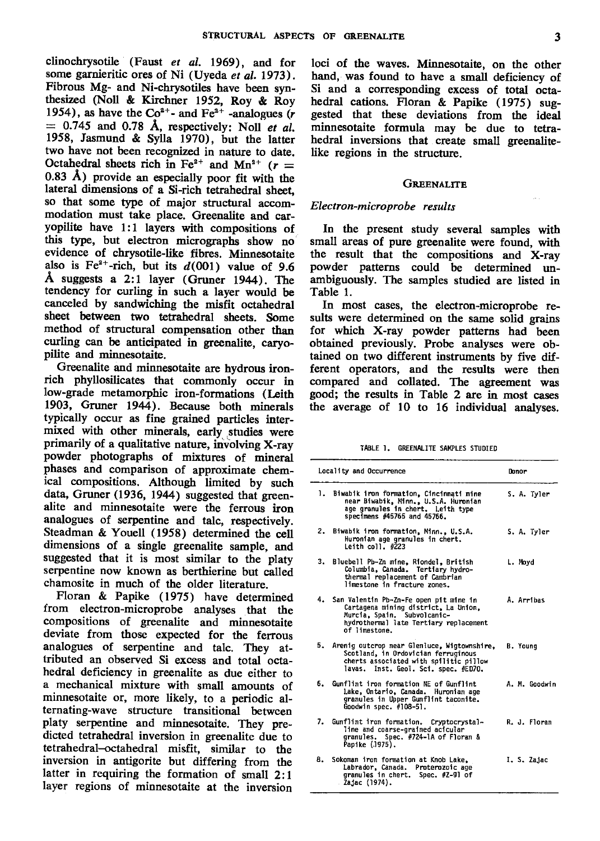clinochrysotile (Faust et al. 1969), and for some garnieritic ores of Ni (Uyeda et al. 1973). Fibrous Mg- and Ni-chrysotiles have been synthesized (Noll & Kirchner 1952, Roy & Roy 1954), as have the  $Co^{2+}$ - and Fe<sup>2+</sup> -analogues (r  $= 0.745$  and 0.78 Å, respectively: Noll et al. 1958, Jasmund & Sylla 1970), but the latter two have not been recognized in nature to date. Octahedral sheets rich in Fe<sup>2+</sup> and Mn<sup>2+</sup> ( $r =$  $0.83$  Å) provide an especially poor fit with the lateral dimensions of a Si-rich tetrahedral sheef so that some type of major structural accommodation must take place. Greenalite and caryopilite have 1:1 layers with compositions of this type, but electron micrographs show no evidence of chrysotile-like fibres. Minnesotaite also is Fe<sup>2+</sup>-rich, but its  $d(001)$  value of 9.6 A suggests a 2:l layer (Gruner 1944). The tendency for curling in such a layer would b canceled by sandwiching the misfit octahedral sheet between two tetrahedral sheets. Some method of structural compensation other than curling can be anticipated in greenalite, caryopilite and minnesotaite.

Greenalite and minnesotaite are hydrous ironrich phyllosilicates that commonly occur in low-grade metamorphic iron-formations (Leith 1903, Gruner 1944), Because both minerals typically occur as fine grained particles intermixed with other minerals, early studies were primarily of a qualitative nature, involving X-ray powder photographs of mixtures of mineral phases and comparison of approximate chemical compositions. Although limited by such data, Gruner (1936, 1944) suggested that greenalite and minnesotaite were the ferrous iron analogues of serpentine and talc, respectively. Steadman & Youell (1958) determined the cell dimensions of a single greenalite sample, and suggested that it is most similar to the platy serpentine now known as berthierine but called chamosite in much of the older literature.

Floran & Papike (1975) have determined from electron-microprobe analyses that the compositions of greenalite and minnesotaite deviate from those expected for the ferrous analogues of serpentine and talc. They attributed an observed Si excess and total octahedral deficiency in greenalite as due either to a mechanical mixture with small amounts of minnesotaite or, more likely, to a periodic alternating-wave structure transitional between platy serpentine and minnesotaite. They predicted tetrahedral inversion in greenalite due to tetrahedral--octahedral misfit, similar to the inversion in antigorite but differing from the latter in requiring the formation of small 2:1 layer regions of minnesotaite at the inversion

loci of the waves. Minnesotaite, on the other hand, was found to have a small deficiency of Si and a corresponding excess of total octahedral cations. Floran & Papike (1975) suggested that these deviations from the ideal minnesotaite formula may be due to tetrahedral inversions that create small greenalitelike regions in the structure.

# GREENALITE

#### Electron-micro probe results

In the present study several samples with small areas of pure greenalite were found, with the result that the compositions and X-ray powder patterns could be determined unambiguously. The samples studied are listed in Table 1.

In most cases, the electron-microprobe results were determined on the same solid grains for which X-ray powder patterns had been obtained previously. Probe analyses were obtained on two different instruments by five different operators, and the results were then compared and collated. The agreement was good; the results in Table 2 are in most cases the average of 10 to 16 individual analyses.

| TABLE 1. GREENALITE SAMPLES STUDIED |  |
|-------------------------------------|--|
|-------------------------------------|--|

|    | Locality and Occurrence                                                                                                                                                     | Donor         |
|----|-----------------------------------------------------------------------------------------------------------------------------------------------------------------------------|---------------|
|    | 1. Biwabik iron formation, Cincinnati mine<br>near Biwabik, Minn., U.S.A. Huronian<br>age granules in chert. Leith type<br>specimens #45765 and 45766.                      | S. A. Tyler   |
| 2. | Biwabik iron formation, Minn., U.S.A.<br>Huronian age granules in chert.<br>Leith coll. $\#223$                                                                             | S. A. Tyler   |
| 3. | Bluebell Pb-Zn mine, Riondel, British<br>Columbia, Canada. Tertiary hydro-<br>thermal replacement of Cambrian<br>limestone in fracture zones.                               | L. Moyd       |
|    | 4. San Valentin Pb-Zn-Fe open pit mine in<br>Cartagena mining district, La Union,<br>Murcia, Spain, Subvolcanic-<br>hydrothermal late Tertiary replacement<br>of limestone. | A. Arribas    |
| 5. | Arenig outcrop near Glenluce, Wigtownshire,<br>Scotland, in Ordovician ferruginous<br>cherts associated with spilitic pillow<br>lavas. Inst. Geol. Sci. spec. #ED70.        | B. Young      |
| 6. | Gunflint iron formation NE of Gunflint<br>Lake, Ontario, Canada. Huronian age<br>granules in Upper Gunflint taconite.<br>Goodwin spec. #108-51.                             | A. M. Goodwin |
| 7. | Gunflint iron formation. Cryptocrystal-<br>line and coarse-grained acicular<br>granules. Spec. #724-1A of Floran &<br>Papike (1975).                                        | R. J. Floran  |
| 8. | Sokoman iron formation at Knob Lake.<br>Labrador, Canada. Proterozoic age<br>granules in chert. Spec. #Z-91 of<br>. Žajac (1974).                                           | I. S. Zajac   |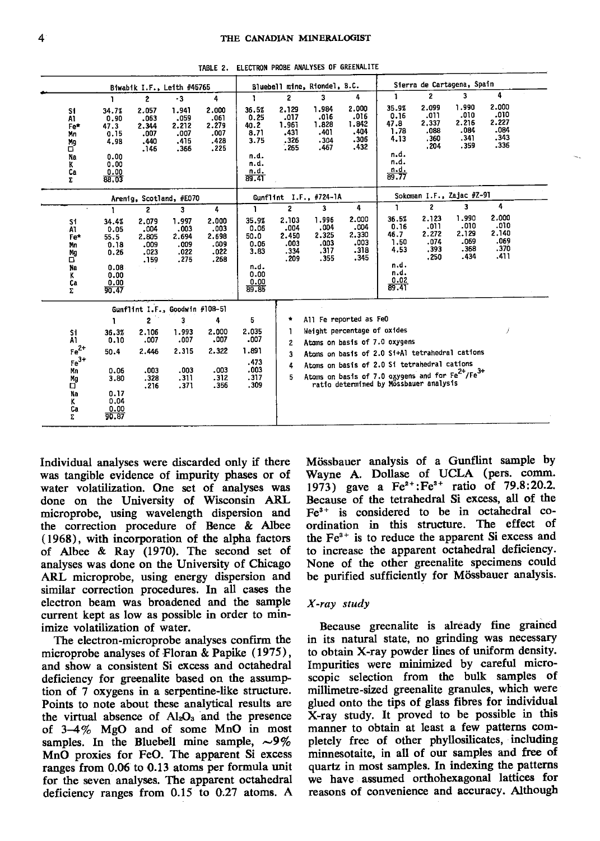|                                                                      |                                                                               |                                                                  | Biwabik I.F., Leith #45765                          |                                                     |                                                                        |                                                | Bluebell mine, Riondel, B.C.                   |                                                       |                                                                                                                                                                                                                                       |                                                | Sierra de Cartagena, Spain                     |                                                |  |
|----------------------------------------------------------------------|-------------------------------------------------------------------------------|------------------------------------------------------------------|-----------------------------------------------------|-----------------------------------------------------|------------------------------------------------------------------------|------------------------------------------------|------------------------------------------------|-------------------------------------------------------|---------------------------------------------------------------------------------------------------------------------------------------------------------------------------------------------------------------------------------------|------------------------------------------------|------------------------------------------------|------------------------------------------------|--|
|                                                                      | ı                                                                             | $\overline{2}$                                                   | $-3$                                                | 4                                                   | 1                                                                      | $\overline{2}$                                 | 3                                              | 4                                                     | Ĩ.                                                                                                                                                                                                                                    | $\overline{2}$                                 | 3                                              | 4                                              |  |
| S1<br>A1<br>Fe*<br>Mn<br>Mg<br>σ<br>Na<br>ĸ<br>Сa<br>Σ               | 34.7%<br>0.90<br>47.3<br>0.15<br>4.98<br>0.00<br>0.00<br>0.00<br>88.03        | 2.057<br>.063<br>2.344<br>.007<br>.440<br>.146                   | 1.941<br>.059<br>2.212<br>.007<br>.415<br>.366      | 2.000<br>.061<br>2.279<br>,007<br>.428<br>.225      | 36.5%<br>0.25<br>40.2<br>8.71<br>3.75<br>n.d.<br>n.d.<br>n.d.<br>89.41 | 2.129<br>.017<br>1.961<br>.431<br>.326<br>.265 | 1.984<br>.016<br>1.828<br>.401<br>.304<br>.467 | 2.000<br>,016<br>1.842<br>.404<br>.306<br>.432        | 35.9%<br>0.16<br>47.8<br>1.78<br>4.13<br>n.d.<br>n.d.<br>n.d.<br>89.77                                                                                                                                                                | 2.099<br>.011<br>2.337<br>.088<br>.360<br>.204 | 1.990<br>.010<br>2.216<br>.084<br>.341<br>.359 | 2,000<br>.010<br>2.227<br>.084<br>.343<br>.336 |  |
|                                                                      |                                                                               |                                                                  | Arenig, Scotland, #E070                             |                                                     |                                                                        |                                                | Gunflint I.F., #724-1A                         |                                                       |                                                                                                                                                                                                                                       |                                                | Sokoman I.F., Zajac #Z-91                      |                                                |  |
|                                                                      |                                                                               | $\mathbf{z}$                                                     | 3                                                   | 4                                                   | 1                                                                      | $\overline{2}$                                 | 3                                              | 4                                                     | 1                                                                                                                                                                                                                                     | $\mathbf{2}$                                   | 3                                              | 4                                              |  |
| S1<br>AT<br>Fe*<br>Mn<br>Mg<br>σ<br>Na<br>ĸ<br>Cа<br>Σ.              | 34.4%<br>0.05<br>55.5<br>0.18<br>0.26<br>0.08<br>0.00<br>$\frac{0.00}{90.47}$ | 2.079<br>.004<br>2.805<br>.009<br>.023<br>.159                   | 1.997<br>.003<br>2.694<br>.009<br>.022<br>.275      | 2.000<br>.003<br>2.698<br>.009<br>.022<br>.268      | 35.9%<br>0.06<br>50.0<br>0.06<br>3.83<br>n.d.<br>0.00<br>0.00<br>89.85 | 2.103<br>.004<br>2.450<br>.003<br>.334<br>.209 | 1.996<br>.004<br>2.325<br>.003<br>.317<br>.355 | 2.000<br>.004<br>2.330<br>.003<br>.318<br>.345        | 36.5%<br>0.16<br>46.7<br>1.50<br>4.53<br>n.d.<br>n.d.<br>0.02<br>89.41                                                                                                                                                                | 2.123<br>.011<br>2.272<br>.074<br>.393<br>.250 | 1.990<br>.010<br>2.129<br>.069<br>.368<br>.434 | 2.000<br>.010<br>2,140<br>.069<br>.370<br>.411 |  |
|                                                                      |                                                                               |                                                                  | Gunflint I.F., Goodwin #108-51                      |                                                     |                                                                        |                                                |                                                |                                                       |                                                                                                                                                                                                                                       |                                                |                                                |                                                |  |
| S1<br>A1<br>$Fe2+$<br>$Fe3+$<br>Mn<br>Mg<br>σ<br>Na<br>ĸ<br>Ca<br>Σ. | 1.<br>36.3%<br>0.10<br>50.4<br>0.06<br>3.80<br>0.17<br>0.04<br>0.00<br>90.87  | $\overline{2}$<br>2.106<br>.007<br>2.446<br>.003<br>.328<br>.216 | 3<br>1.993<br>.007<br>2.315<br>.003<br>.311<br>.371 | 4<br>2.000<br>.007<br>2.322<br>.003<br>.312<br>.356 | 5<br>2.035<br>.007<br>1.891<br>.473<br>.003<br>.317<br>.309            | $\bullet$<br>2<br>3<br>4<br>5                  |                                                | All Fe reported as FeO<br>Weight percentage of oxides | Atoms on basis of 7.0 oxygens<br>Atoms on basis of 2.0 Si+Al tetrahedral cations<br>Atoms on basis of 2.0 Si tetrahedral cations<br>Atoms on basis of 7.0 oxygens and for $Fe^{2+}/Fe^{3+}$<br>ratio determined by Mossbauer analysis |                                                |                                                |                                                |  |

TABLE 2. ELECTRON PROBE ANALYSES OF GREENALITE

Individual analyses were discarded only if there was tangible evidence of impurity phases or of water volatilization. One set of analyses was done on the University of Wisconsin ARL microprobe, using wavelength dispersion and the correction procedure of Bence & Albee (1968), with incorporation of the alpha factors of Albee & Ray (1970). The second set of analyses was done on the University of Chicago ARL microprobe, using energy dispersion and similar correction procedures. In all cases the electron beam was broadened and the sample current kept as low as possible in order to minimize volatilization of water.

The electron-microprobe analyses confirm the microprobe analyses of Floran & Papike (1975), and show a consistent Si excess and octahedral deficiency for greenalite based on the assumption of 7 oxygens in a serpentine-like structure. Points to note about these analytical results are the virtual absence of Al<sub>2</sub>O<sub>3</sub> and the presence of 3-4% MgO and of some MnO in most samples. In the Bluebell mine sample,  $\sim 9\%$ MnO proxies for FeO. The apparent Si excess ranges from 0.06 to 0.13 atoms per formula unit for the seven analyses. The apparent octahedral deficiency ranges from 0.15 to 0.27 atoms. A

Mössbauer analysis of a Gunflint sample by Wavne A. Dollase of UCLA (pers. comm. 1973) gave a  $Fe^{2+}$ :  $Fe^{3+}$  ratio of 79.8:20.2. Because of the tetrahedral Si excess, all of the  $Fe<sup>3+</sup>$  is considered to be in octahedral coordination in this structure. The effect of the  $Fe<sup>3+</sup>$  is to reduce the apparent Si excess and to increase the apparent octahedral deficiency. None of the other greenalite specimens could be purified sufficiently for Mössbauer analysis.

## X-ray study

Because greenalite is already fine grained in its natural state, no grinding was necessary to obtain X-ray powder lines of uniform density. Impurities were minimized by careful microscopic selection from the bulk samples of millimetre-sized greenalite granules, which were glued onto the tips of glass fibres for individual X-ray study. It proved to be possible in this manner to obtain at least a few patterns completely free of other phyllosilicates, including minnesotaite, in all of our samples and free of quartz in most samples. In indexing the patterns we have assumed orthohexagonal lattices for reasons of convenience and accuracy. Although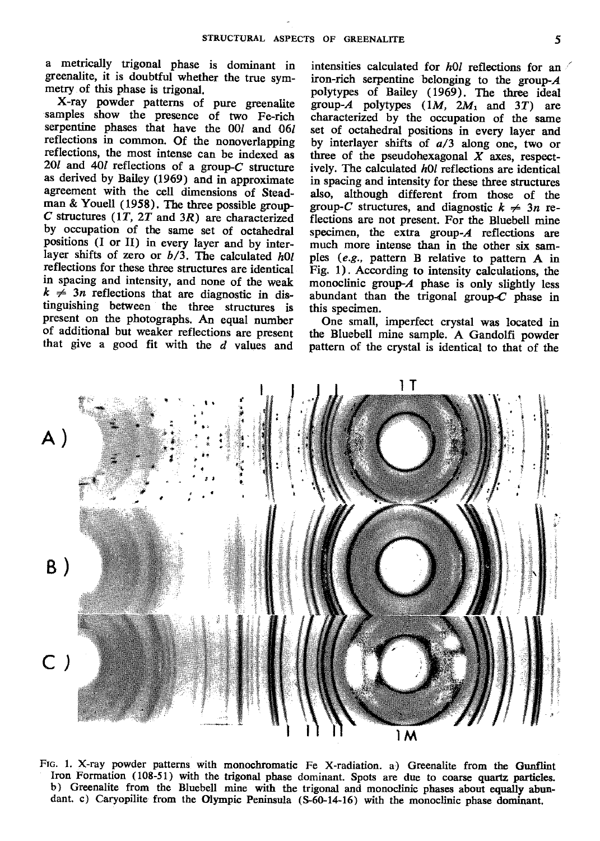a metrically trigonal phase is dominant in greenalite, it is doubtful whether the true svmmetry of this phase is trigonal.<br>X-ray powder patterns of pure greenalite

samples show the presence of two Fe-rich serpentine phases that have the 0O/ and 061 reflections in common. Of the nonoverlapping reflections, the most iniense can be indexed as 2Ol and 4Ol reflections of a group-C structure as derived by Bailey (1969) and in approximate agreement with the cell dimensions of Steadman & Youell (1958). The three possible group-C structures  $(1T, 2T \text{ and } 3R)$  are characterized by occupation of the same set of octahedral positions (I or II) in every layer and by interlayer shifts of zero or  $b/3$ . The calculated hOl reflections for these three structures are identical in spacing and intensity, and none of the weak  $k \neq 3n$  reflections that are diagnostic in distinguishing between the three structures is present on the photographs. An equal number of additional but weaker reflections are present that give a good fit with the  $d$  values and

intensities calculated for  $h0l$  reflections for an iron-rich serpentine belonging to the group- $A$ polytypes of Bailey (1969). The three ideal group-A polytypes  $(1M, 2M_1 \text{ and } 3T)$  are characterized by the occupation of the same set of octahedral positions in every layer and by interlayer shifts of a/3 along one, two or three of the pseudohexagonal  $X$  axes, respectively. The calculated  $h0l$  reflections are identical in spacing and intensity for these three structures also, although different from those of the group-C structures, and diagnostic  $k \neq 3n$  reflections are not present. For the Bluebell mine specimen, the extra group- $A$  reflections are much more intense than in the other six samples (e.9., pattern B relative to pattern A in Fig. 1). According to intensity calculations, the monoclinic group- $A$  phase is only slightly less abundant than the trigonal group- $C$  phase in this specimen.

One small, imperfect crystal was located in the Bluebell mine sample. A Gandolfi powder pattern of the crystal is identical to that of the



FtG. 1. X-ray powder patterns with monochromatic Fe X-radiation. a) Greenalite from the Gunflint Iron Formation (108-51) with the trigonal phase dominant. Spots are due to coarse quartz paxticles. b) Greenalite from the Bluebell mine with the trigonal and monoclinic phases about equally abundant. c) Caryopilite from the Olympic Peninsula (S-60-14-16) with the monoclinic phase dominant.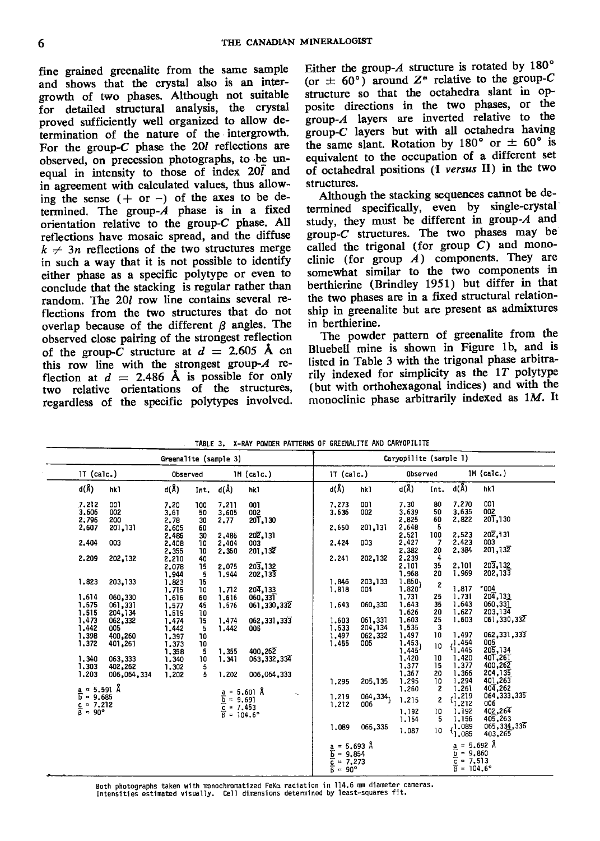fine grained greenalite from the same sample and shows that the crystal also is an intergrowth of two phases. Although not suitable for detailed structural analysis, the crystal proved sufficiently well organized to allow deiermination of the nature of the intergrowth. For the group- $C$  phase the 20*l* reflections are obseryed, on precession photographs, to'be unequal in intensity to those of index  $20\bar{l}$  and in agreement with calculated values, thus allowing the sense  $( + or - )$  of the axes to be determined. The group- $A$  phase is in a fixed orientation relative to the group-C phase. All reflections have mosaic spread, and the diffuse  $k \neq 3n$  reflections of the two structures merge in such a way that it is not possible to identify either phase as a specific polytype or even to conclude that the stacking is regular rather than random. The 20I row line contains several reflections from the two structures that do not overlap because of the different  $\beta$  angles. The observed close pairing of the strongest reflection of the group-C structure at  $d = 2.605$  Å cn this row line with the strongest group- $A$  reflection at  $d = 2.486$  Å is possible for only two relative orientations of the structures, regardless of the specific polytypes involved. Either the group- $A$  structure is rotated by 180 $^{\circ}$ (or  $\pm$  60°) around Z<sup>\*</sup> relative to the group-C structure so that the octahedra slant in opposite directions in the two phases, or the group- $A$  layers are inverted relative to the group- $C$  layers but with all octahedra having the same slant. Rotation by 180<sup>°</sup> or  $\pm$  60<sup>°</sup> is equivalent to the occupation of a different set of octahedral positions (I versus II) in the two structures.

Although the stacking sequences cannot be determined specifically, even by single-crystal' study, they must be different in group- $A$  and group- $C$  structures. The two phases may be called the trigonal (for group  $C$ ) and monoclinic (for group  $A$ ) components. They are somewhat similar to the two components in berthierine (Brindley 1951) but differ in that the two phases are in a fixed structural relationship in greenalite but are present as admixtures in berthierine.

The powder pattern of greenalite from the Bluebell mine is shown in Figure 1b, and is listed in Table 3 with the trigonal phase arbitrarily indexed for simplicity as the  $1T$  polytype (but with orthohexagonal indices) and with the monoclinic phase arbitrarily indexed as  $1M$ . It

|                                            |                 | Greenalite (sample 3) |      |       |                                                                                                        |                                                                               |          | Caryopilite (sample 1) |      |                                                                                     |               |
|--------------------------------------------|-----------------|-----------------------|------|-------|--------------------------------------------------------------------------------------------------------|-------------------------------------------------------------------------------|----------|------------------------|------|-------------------------------------------------------------------------------------|---------------|
| $1T$ (calc.)                               |                 | Observed              |      |       | $1M$ (calc.)                                                                                           | $1T$ (calc.)                                                                  |          | Observed               |      |                                                                                     | $IM$ (calc.)  |
| d(Å)                                       | hk <sup>1</sup> | $d(\lambda)$          | Int. | d(Å)  | hk1                                                                                                    | d(Å)                                                                          | hk1      | $d(\hat{A})$           | int. | $d(\AA)$                                                                            | hk1           |
| 7.212                                      | 007             | 7,20                  | 100  | 7.211 | 001                                                                                                    | 7.273                                                                         | 001      | 7.30                   | 80   | 7.270                                                                               | 001           |
| 3.606                                      | 002             | 3.61                  | 50   | 3,605 | 002                                                                                                    | 3.636                                                                         | 002      | 3.639                  | 50   | 3.635                                                                               | 002           |
| 2,796                                      | 200             | 2.78                  | 30   | 2,77  | 201.130                                                                                                |                                                                               |          | 2,825                  | 60   | 2,822                                                                               | 201,130       |
| 2,607                                      | 201,131         | 2,605                 | 60   |       |                                                                                                        | 2,650                                                                         | 201,131  | 2,648                  | 5    |                                                                                     |               |
|                                            |                 | 2.486                 | 30   | 2.486 | 202,131                                                                                                |                                                                               |          | 2.521                  | 100  | 2.523                                                                               | 202.131       |
| 2,404                                      | 003             | 2,408                 | 10   | 2,404 | 003                                                                                                    | 2,424                                                                         | 003      | 2.427                  | -7   | 2,423                                                                               | 003           |
|                                            |                 | 2,355                 | 10   | 2,350 | 201,132                                                                                                |                                                                               |          | 2,382                  | 20   | 2.384                                                                               | 201,132       |
| 2,209                                      | 202,132         | 2,210                 | 40   |       |                                                                                                        | 2,241                                                                         | 202.132  | 2,239                  | 4    |                                                                                     |               |
|                                            |                 | 2,078                 | 15   | 2.075 | 203,132                                                                                                |                                                                               |          | 2,101                  | 35   | 2.101                                                                               | 203, 132      |
|                                            |                 | 1.944                 | -5   | 1,944 | 202,133                                                                                                |                                                                               |          | 1,968                  | 20   | 1,969                                                                               | 202,133       |
| 1,823                                      | 203,133         | 1.823                 | 15   |       |                                                                                                        | 1.846                                                                         | 203.133  | 1.850,                 |      |                                                                                     |               |
|                                            |                 | 1.715                 | 10   | 1.712 | 204.133                                                                                                | 1,818                                                                         | 004      | 1.820'                 | 2    | 1.817                                                                               | 004           |
| 1,614                                      | 060,330         | 1.616                 | 60   | 1,616 | 060,33T                                                                                                |                                                                               |          | 1,731                  | 25   | 1.731                                                                               | 204, 133      |
| 1,575                                      | 061,331         | 1.577                 | 45   | 1,576 | 061,330,332                                                                                            | 1.643                                                                         | 060,330  | 1.643                  | 35   | 1,643                                                                               | 060,331       |
|                                            | 204,134         | 1.519                 | 10   |       |                                                                                                        |                                                                               |          | 1.626                  | 20   | 1.627                                                                               | 203, 134      |
| 1.515<br>1.473                             |                 |                       |      | 1.474 |                                                                                                        | 1.603                                                                         | 061,331  | 1.603                  | 25   | 1,603                                                                               | 061,330,332   |
| 1.442                                      | 062,332         | 1.474                 | 15   |       | 062,331,333                                                                                            | 1.533                                                                         | 204,134  | 1,535                  | 3    |                                                                                     |               |
|                                            | 005             | 1.442                 | 5    | 1.442 | 005                                                                                                    | 1,497                                                                         | 062,332  | 1.497                  | 10   | 1.497                                                                               | 062,331,333   |
| 1,398<br>1,372                             | 400,260         | 1.397                 | 10   |       |                                                                                                        | 1,455                                                                         | 005      | 1.453,                 |      | -1.454                                                                              | 005           |
|                                            | 401,261         | 1,373                 | 10   |       | 400.262                                                                                                |                                                                               |          | 1.445'                 | 10   | 1.445                                                                               | 205,134       |
|                                            |                 | 1.358                 | 5    | 1.355 |                                                                                                        |                                                                               |          |                        | 10   | 1,420                                                                               | 40T,26T       |
| 1,340                                      | 063,333         | 1,340                 | 10   | 1.341 | 063,332,334                                                                                            |                                                                               |          | 1,420<br>1,377         | 15   | 1.377                                                                               | 400,262       |
| 1,303                                      | 402,262         | 1,302                 | 5    |       |                                                                                                        |                                                                               |          | 1,367                  | 20   | 1,366                                                                               | 204,135       |
| 1.203                                      | 006,064,334     | 1.202                 | 5    | 1,202 | 006,064,333                                                                                            |                                                                               |          | 1.295                  | 10   | 1.294                                                                               | 401,263       |
| $a = 5.591$ Å                              |                 |                       |      |       |                                                                                                        | 1.295                                                                         | 205, 135 | 1,260                  | 2    | 1.261                                                                               | 404,262       |
|                                            |                 |                       |      |       | $\frac{a}{b} = 5.601$ Å<br>$\frac{c}{c} = 9.691$<br>$\frac{c}{\beta} = 7.453$<br>$\beta = 104.6^\circ$ | 1.219                                                                         | 064,334, |                        |      | ,1.219                                                                              | 064,333,335   |
| $\overline{b}$ = 9.685                     |                 |                       |      |       |                                                                                                        |                                                                               | 006      | 1.215                  | 2    | <sup>1</sup> 1.212                                                                  | 006           |
| $rac{c}{\beta} = \frac{7.212}{90^{\circ}}$ |                 |                       |      |       |                                                                                                        | 1,212                                                                         |          | 1.192                  | 10   | 1,192                                                                               | 402,264       |
|                                            |                 |                       |      |       |                                                                                                        |                                                                               |          |                        | 5    | 1.156                                                                               | 405,263       |
|                                            |                 |                       |      |       |                                                                                                        |                                                                               |          | 1,154                  |      | ,1.089                                                                              | 065, 334, 336 |
|                                            |                 |                       |      |       |                                                                                                        | 1,089                                                                         | 065,335  | 1.087                  | 10   | '1,085                                                                              | 403,265       |
|                                            |                 |                       |      |       |                                                                                                        | $\frac{a}{b} = 5.693$ Å<br>$\frac{b}{c} = 9.854$<br>$\frac{c}{\beta} = 7.273$ |          |                        |      | $\frac{a}{b} = 5.692 \text{ Å}$<br>$\frac{c}{c} = 7.513$<br>$\beta = 104.6^{\circ}$ |               |
|                                            |                 |                       |      |       |                                                                                                        |                                                                               |          |                        |      |                                                                                     |               |
|                                            |                 |                       |      |       |                                                                                                        |                                                                               |          |                        |      |                                                                                     |               |
|                                            |                 |                       |      |       |                                                                                                        |                                                                               |          |                        |      |                                                                                     |               |

TABLE 3. X-RAY POWDER PATTERNS OF GREENALITE AND CARYOPILITE

Both photographs taken with monochromatized FeK $\alpha$  radiation Intensities estimated visually. Cell dimensions determined by least-squares fit.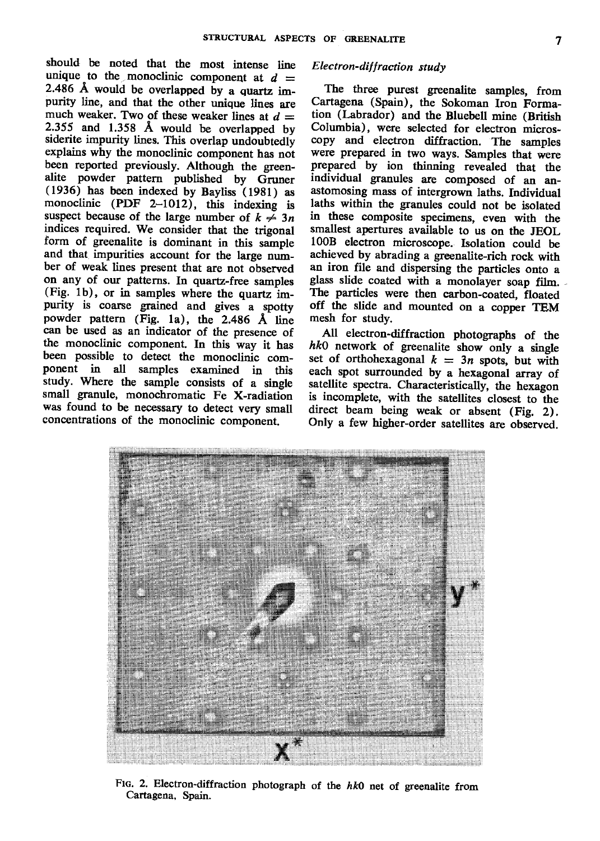should be noted that the most intense line unique to the monoclinic component at  $d =$ 2.486 A would be overlapped by a quartz impurity line, and that the other unique lines are much weaker. Two of these weaker lines at  $d =$ 2.355 and 1.358 Å would be overlapped by siderite impurity lines. This overlap undoubtedly explains why the monoclinic component has not been reported previously. Although the greenalite powder pattern published by Gruner (1936) has been indexed by Bayliss (1981) as monoclinic (PDF 2-1012), this indexing is suspect because of the large number of  $k \neq 3n$ indices required. We consider that the trigonal form of greenalite is dominant in this sample and that impurities account for the large number of weak lines present that are not observed on any of our patterns. In quartz-free samples (Fig. 1b), or in samples where the quartz impurity is coarse grained and gives a spotty powder pattern (Fig. 1a), the 2.486 A tine can be used as an indicator of the presence of the monoclinic component. In this way it has been possible to detect the monoclinic component in all samples examined in this study. Where the sample consists of a single small granule, monochromatic Fe X-radiation was found to be necessary to detect very small concentrations of the monoclinic component.

# Electron-diffraction study

The three purest greenalite samples, from Cartagena (Spain), the Sokoman Iron Formation (Labrador) and the Bluebell mine (British Columbia), were selected for electron microscopy and electron diffraction. The samples were prepared in two ways. Samples that were prepared by ion thinning revealed that the individual granules are composed of an anastomosing mass of intergrown laths. Individual laths within the granules could not be isolated in these composite specimens, even with the smallest apertures available to us on the JEOL 10OB electron microscope. Isolation could be achieved by abrading a greenalite-rich rock with an iron file and dispersing the particles onto a glass slide coated with a monolayer soap film. The particles were then carbon-coated, floated off the slide and mounted on a copper TEM mesh for study.

All electron-diffraction photographs of the  $hk0$  network of greenalite show only a single set of orthohexagonal  $k = 3n$  spots, but with each spot surrounded by a hexagonal array of satellite spectra. Characteristically, the hexagon is incomplete, with the satellites closest to the direct beam being weak or absent (Fig. 2), Only a few higher-order satellites are observed.



Ftg. 2. Electron-diffraction photograph of the  $hk0$  net of greenalite from Cartagena, Spain.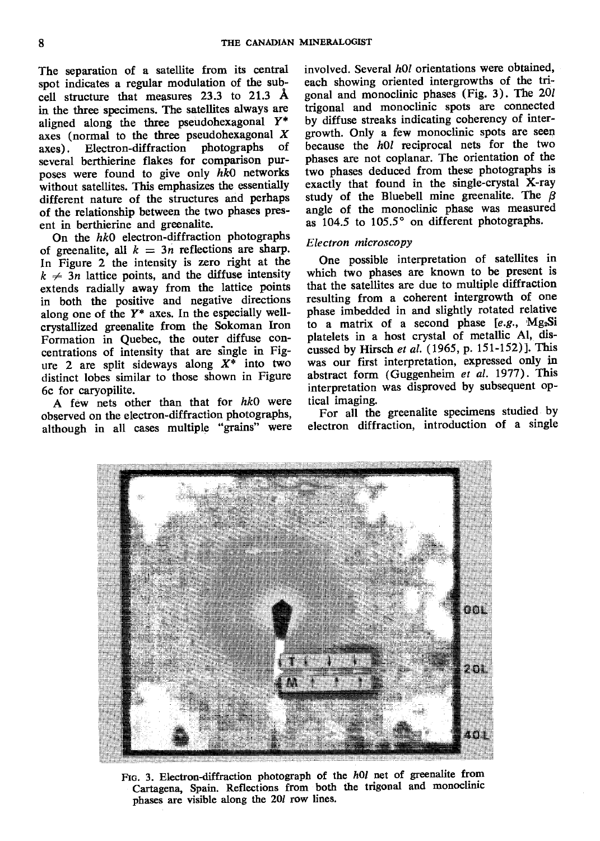The separation of a satellite from its central spot indicates a regular modulation of the subcell structure that measures 23.3 to 21.3 A in the three specimens. The satellites always are aligned along the three pseudohexagonal  $Y^*$ axes (normal to the three pseudohexagonal  $X$  axes). Electron-diffraction photographs of axes). Electron-diffraction photographs several berthierine flakes for comparison purposes were found to give only  $hk0$  networks without satellites. This emphasizes the essentially different nature of the structures and perhaps of the relationship between the two phases present in berthierine and greenalite.

On the  $hk0$  electron-diffraction photographs of greenalite, all  $k = 3n$  reflections are sharp. In Figure 2 the intensity is zero rigbt at the  $k \neq 3n$  lattice points, and the diffuse intensity extends radially away from the lattice points in both the positive and negative directions along one of the  $Y^*$  axes. In the especially wellcrystallized greenalite from the Sokoman Iron Formation in Quebec, the outer diffuse concentrations of intensity that are single in Fig' ure 2 are split sideways along  $X^*$  into two distinct lobes similar to those shown in Figure 6c for caryopilite.

A few nets other than that for  $hk0$  were observed on the electron-diffraction photographs, although in all cases multiple "grains" were involved. Several  $h0l$  orientations were obtained, each showing oriented intergrowths of the tri gonal and monoclinic phases (Fig. 3). The  $20l$ trigonal and monoclinic spots are connected by diffuse streaks indicating coherency of inter' growth. Only a few monoclinic spots are seen because the  $h0l$  reciprocal nets for the two phases are not coplanar. The orientation of the iwo phases deduced from these photographs is exactly that found in the single-crystal X-ray study of the Bluebell mine greenalite. The  $\beta$ angle of the monoclinic phase was measured as 104.5 to 105.5° on different photographs.

## Electron microscopy

One possible interpretation of satellites in which two phases are known to be present is that the satellites are due to multiple diffraction resulting from a coherent intergrowth of one phase imbedded in and slightly rotated relative to a matrix of a second phase  $[e.g., Mg<sub>2</sub>Si]$ platelets in a host crystal of metallic Al, discussed by Hirsch et al.  $(1965, p. 151-152)$ ]. This was our first interpretation, expressed only in abstract form (Guggenheim et al. 1977). This interpretation was disproved by subsequent optical imaging.

For ali the greenalite specimens studied by electron diffraction, introduction of a single



FIG. 3. Electron-diffraction photograph of the h0l net of greenalite from Cartagena, Spain. Reflections from both the trigonal and monoclinic phases are visible along the 20/ row lines.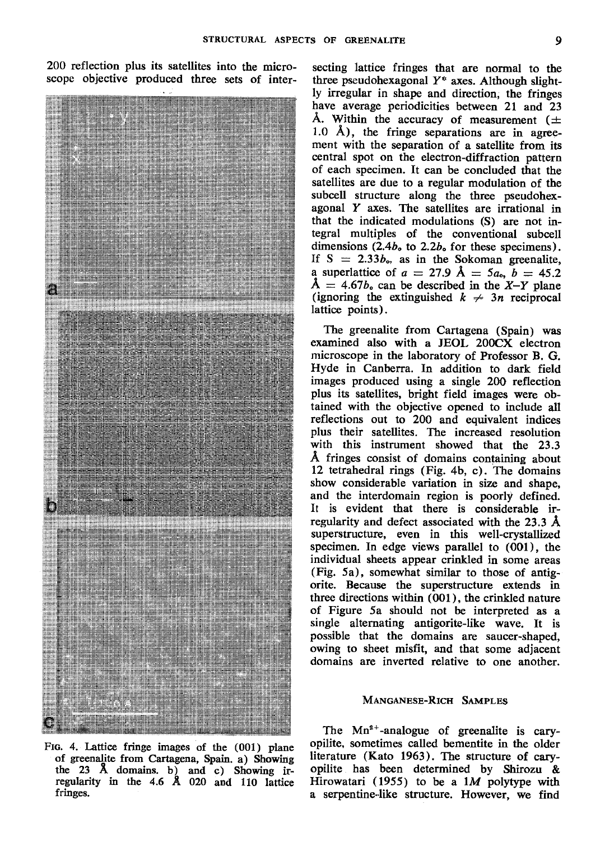200 reflection plus its satellites into the micro-



Fro. 4. Lattice fringe images of the (001) plane of greenalite from Cartagena, Spain. a) Showing the 23 A domains. b) and c) Showing irregularity in the 4.6 Å 020 and 110 lattice fringes.

secting lattice fringes that are nornal to the three pseudohexagonal  $Y^*$  axes. Although slightly irregular in shape and direction, the fringes have average periodicities between 21 and 23 Å. Within the accuracy of measurement ( $\pm$ 1.0 Å), the fringe separations are in agreement with the separation of a satellite from its central spot on the electron-diffraction pattern of each specimen. It can be concluded that the satellites are due to a regular modulation of the subcell structure along the three pseudohexagonal  $Y$  axes. The satellites are irrational in that the indicated modulations (S) are not integral multiples of the conventional subcell dimensions  $(2.4b<sub>o</sub>$  to  $2.2b<sub>o</sub>$  for these specimens). If  $S = 2.33b_0$ , as in the Sokoman greenalite, a superlattice of  $a = 27.9$   $\AA = 5a_0$ ,  $b = 45.2$  $\AA = 4.67b$ , can be described in the X-Y plane (ignoring the extinguished  $k \neq 3n$  reciprocal lattice points).

The greenalite from Cartagena (Spain) was examined also with a JEOL 200CX electron microscope in the laboratory of Professor B. G. Hyde in Canberra. In addition to dark field images produced using a single 20O reflection plus its satellites, bright field images were obtained with the objective opened to include all reflections out to 200 and equivalent indices plus their satellites. The increased resolution with this instrument showed that the 23.3 A fringes consist of domains containing about 12 tetrahedral rings (Fig. 4b, c), The domains show considerable variation in size and shape, and the interdomain region is poorly defined. It is evident that there is considerable irregularity and defect associated with the 23.3  $\AA$ superstructure, even in this well-crystallized specimen. In edge views parallel to (0Ol ), the individual sheets appear crinkled in some areas (Fig. 5a), somewhat similar to those of antigorite. Because the superstructure extends in three directions within (@1), the crinkled nature of Figure 5a should not be interpreted as a single alternating antigorite-like wave. It is possible that the domains are saucer-shaped, owing to sheet misfit, and that some adjacent domains are inverted relative to one another.

#### MANGANESE-RICH SAMPLES

The  $Mn^{2+}$ -analogue of greenalite is caryopilite, sometimes called bementite in the older Iiterature (Kato 1963). The structure of caryopilite has been determined by Shirozu & Hirowatari (1955) to be a  $1M$  polytype with a serpentine-like structure. However, we find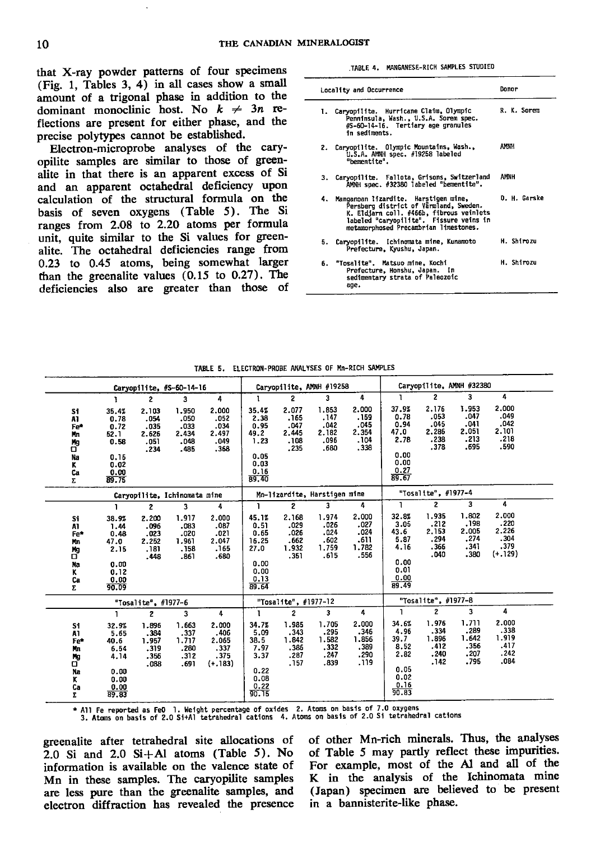that X-ray powder patterns of four specimens (Fig. 1, Tables 3, 4) in all cases show a small amount of a trigonal phase in addition to the dominant monoclinic host. No  $k \neq 3n$  reflections are present for either phase, and the precise polytypes cannot be established.

Electron-microprobe analyses of the caryopilite samples are similar to those of greenalite in that there is an apparent excess of Si and an apparent octahedral deficiency upon calculation of the structural formula on the basis of seven oxygens (Table 5). The Si ranges from 2.08 to 2.20 atoms per formula unit, quite similar to the Si values for greenalite. The octahedral deficiencies range from 0.23 to 0.45 atoms, being somewhat larger than the greenalite values  $(0.15$  to  $0.27)$ . The deficiencies also are greater than those of

TABLE 4. MANGANESE-RICH SAMPLES STUDIED

|    | Locality and Occurrence                                                                                                                                                                                           | Donor        |
|----|-------------------------------------------------------------------------------------------------------------------------------------------------------------------------------------------------------------------|--------------|
|    | 1. Carvopilite. Hurricane Claim, Olympic<br>Penninsula, Wash., U.S.A. Sorem spec.<br>#S-60-14-16. Tertiary age granules<br>in sediments.                                                                          | R. K. Sorem  |
|    | 2. Caryopilite. Olympic Mountains, Wash.,<br>U.S.A. AMNH spec. #19258 labeled<br>"bementite".                                                                                                                     | AMMH         |
|    | 3. Caryopilite. Fallota, Grisons, Switzerland<br>AMNH spec. #32380 labeled "bementite".                                                                                                                           | AMNH         |
|    | 4. Manganoan lizardite. Harstigen mine,<br>Persberg district of Varmland, Sweden.<br>K. Eldjarn coll. #466b, fibrous veinlets<br>labeled "caryopilite". Fissure veins in<br>metamorphosed Precambrian limestones. | D. H. Garske |
|    | 5. Caryopilite. Ichinomata mine, Kunamoto<br>Prefecture, Kyushu, Japan.                                                                                                                                           | H. Shirozu   |
| 6. | "Tosalite". Matsuo mine, Kochi<br>Prefecture, Honshu, Japan. In<br>sedimentary strata of Paleozoic<br>age.                                                                                                        | H. Shirozu   |

|                                                         |                                                                        |                                                | Carvopilite, #S-60-14-16                       |                                                     |                                                                         |                                                | Carvopilite, AMNH #19258                       |                                                 |                                                                        | Caryopilite, AMNH #32380                       |                                                |                                                     |  |
|---------------------------------------------------------|------------------------------------------------------------------------|------------------------------------------------|------------------------------------------------|-----------------------------------------------------|-------------------------------------------------------------------------|------------------------------------------------|------------------------------------------------|-------------------------------------------------|------------------------------------------------------------------------|------------------------------------------------|------------------------------------------------|-----------------------------------------------------|--|
|                                                         | Ŧ                                                                      | 2                                              | 3                                              | 4                                                   | $\mathbf{I}$                                                            | $\overline{2}$                                 | 3                                              | 4                                               | ı                                                                      | 2                                              | 3                                              | 4                                                   |  |
| S1<br>A1<br>Fe*<br>Mn<br>Mg<br>σ<br>Na<br>К<br>Ca<br>Σ. | 35.4%<br>0.78<br>0.72<br>52.1<br>0.58<br>0.15<br>0.02<br>0.00<br>89.75 | 2.103<br>.054<br>.035<br>2.626<br>.051<br>.234 | 1.950<br>.050<br>.033<br>2.434<br>.048<br>.485 | 2,000<br>.052<br>.034<br>2.497<br>.049<br>.368      | 35.4%<br>2.38<br>0.95<br>49.2<br>1.23<br>0.05<br>0.03<br>0.16<br>89.40  | 2.077<br>.165<br>.047<br>2.445<br>.108<br>.235 | 1.853<br>.147<br>.042<br>2.182<br>.096<br>.680 | 2.000<br>.159<br>.045<br>2.354<br>.104<br>.338  | 37.9%<br>0.78<br>0.94<br>47.0<br>2.78<br>0.00<br>0.00<br>0.27<br>89.67 | 2.176<br>.053<br>.045<br>2.286<br>.238<br>.378 | 1.953<br>.047<br>.041<br>2.051<br>.213<br>.695 | 2.000<br>.049<br>.042<br>2.101<br>.218<br>.590      |  |
|                                                         |                                                                        |                                                | Caryopilite, Ichinomata mine                   |                                                     |                                                                         |                                                | Mn-lizardite, Harstigen mine                   |                                                 |                                                                        | "Tosalite", #1977-4                            |                                                |                                                     |  |
|                                                         | ı                                                                      | 2                                              | 3                                              | 4                                                   | 1                                                                       | $\mathbf{z}$                                   | 3                                              | 4                                               | 1                                                                      | 2                                              | 3                                              | 4                                                   |  |
| Si.<br>A1<br>Fe*<br>Mn<br>Иg<br>σ<br>Na<br>ĸ<br>Ca<br>Σ | 38.9%<br>1.44<br>0.48<br>47.0<br>2.15<br>0.00<br>0.12<br>0.00<br>90.09 | 2.200<br>.096<br>.023<br>2.252<br>.181<br>.448 | 1.917<br>.083<br>.020<br>1.961<br>.158<br>.861 | 2,000<br>.087<br>.021<br>2.047<br>.165<br>.680      | 45.1%<br>0.51<br>0.65<br>16.25<br>27.0<br>0.00<br>0.00<br>0.13<br>89.64 | 2,168<br>.029<br>.026<br>.662<br>1.932<br>.351 | 1.974<br>.026<br>.024<br>.602<br>1.759<br>.615 | 2,000<br>.027<br>.024<br>.611<br>1.782<br>.556  | 32.8%<br>3.05<br>43.6<br>5.87<br>4.16<br>0.00<br>0.01<br>0.00<br>89.49 | 1.935<br>.212<br>2.153<br>.294<br>.366<br>.040 | 1.802<br>.198<br>2.005<br>.274<br>.341<br>.380 | 2.000<br>.220<br>2.226<br>.304<br>.379<br>$(+.129)$ |  |
|                                                         |                                                                        | "Tosalite", #1977-6                            |                                                |                                                     |                                                                         | "Tosalite", #1977-12                           |                                                |                                                 |                                                                        | "Tosalite", #1977-8                            |                                                |                                                     |  |
|                                                         | ı                                                                      | $\mathbf{z}$                                   | 3                                              | 4                                                   |                                                                         | $\overline{\mathbf{c}}$                        | 3                                              | 4                                               | 1                                                                      | $\overline{c}$                                 | 3                                              | 4                                                   |  |
| 51<br>A1<br>Fe*<br>Mm<br>Ng<br>σ<br>Nn<br>ĸ<br>Ca<br>Σ  | 32.9%<br>5.65<br>40.6<br>6.54<br>4.14<br>0.00<br>0.00<br>0.00<br>89.83 | 1.896<br>.384<br>1.957<br>.319<br>.356<br>.088 | 1.663<br>.337<br>1.717<br>.280<br>.312<br>.691 | 2.000<br>.406<br>2.065<br>.337<br>.375<br>$(+.183)$ | 34.7%<br>5.09<br>38.5<br>7.97<br>3.37<br>0.22<br>0.08<br>0.22<br>90.15  | 1.985<br>.343<br>1.842<br>.386<br>.287<br>.157 | 1.705<br>.295<br>1.582<br>.332<br>.247<br>.839 | 2.000<br>.346<br>1.856<br>,389<br>.290<br>. 119 | 34.6%<br>4.96<br>39.7<br>8.52<br>2.82<br>0.05<br>0.02<br>0.16<br>90.83 | 1.976<br>.334<br>1.896<br>.412<br>.240<br>.142 | 1.711<br>.289<br>1.642<br>.356<br>.207<br>.795 | 2.000<br>.338<br>1.919<br>.417<br>.242<br>.084      |  |

TABLE 5. ELECTRON-PROBE ANALYSES OF Mn-RICH SAMPLES

\* All Fe reported as FeO 1. Weight percentage of oxides 2. Atoms on basis of 7.0 oxygens<br>3. Atoms on basis of 2.0 Si+Al tetrahedral cations 4. Atoms on basis of 2.0 Si tetrahedral cations

greenalite after tetrahedral site allocations of 2.0 Si and 2.0 Si+Al atoms (Table 5). No information is available on the valence state of Mn in these samples. The caryopilite samples are less pure than the greenalite samples, and electron diffraction has revealed the presence of other Mn-rich minerals. Thus, the analyses of Table 5 may partly reflect these impurities. For example, most of the Al and all of the K in the analysis of the Ichinomata mine (Japan) specimen are believed to be present in a bannisterite-like phase.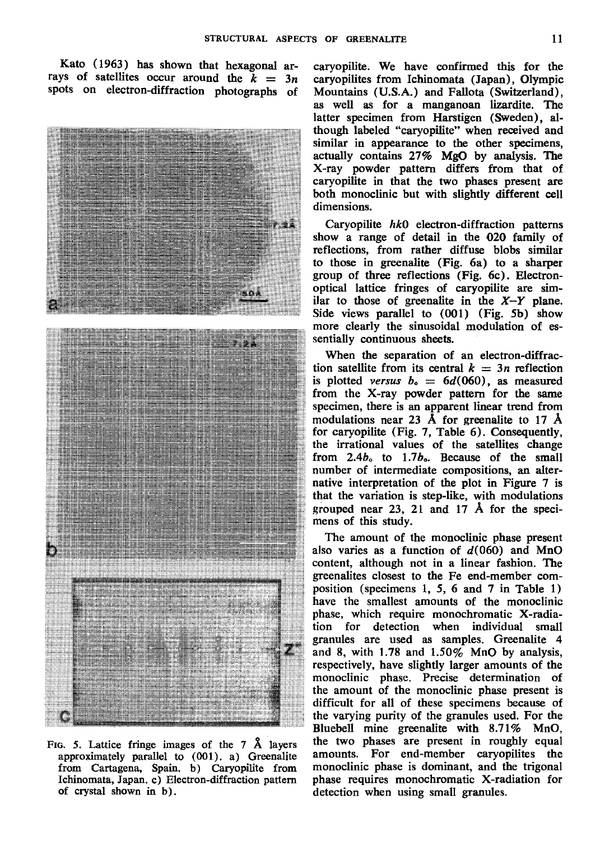Kato (1963) has shown that hexagonal arrays of satellites occur around the  $k = 3n$ spots on electron-diffraction photographs of



FIG. 5. Lattice fringe images of the  $7\,$  Å layers approximately parallel to (001). a) Greenalite from Cartagena, Spain. b) Caryopilite from Ichinomata, Japan. c) Electron-diffraction pattern of crystal shown in b).

caryopilite. We have confirmed this for the caryopilites from Ichinomata (Japan), Olympic Mountains (U.S.A.) and Fallota (Switzerland), as well as for a manganoan lizardite. The latter specimen from Harstigen (Sweden), although labeled "caryopilite" when received and similar in appearance to the other specimens, actually contains 27% MgO by analysis. The X-ray powder pattern differs from that of caryopilite in that the two phases present are both monoclinic but with slightly different cell dimensions.

Caryopilite  $hk0$  electron-diffraction patterns show a range of detail in the O2O family of reflections, from rather diffuse blobs similar to those in greenalite (Fig. 6a) to a sharper group of three reflections (Fig. 6c). Electronoptical lattice fringes of caryopilite are similar to those of greenalite in the  $X-Y$  plane. Side views parallel to (001) (Fig. 5b) show more clearly the sinusoidal modulation of essentially continuous sheets.

When the separation of an electron-diffraction satellite from its central  $k = 3n$  reflection is plotted versus  $b_0 = 6d(060)$ , as measured from the X-ray powder pattern for the same specimen, there is an apparent linear trend from modulations near 23 Å for greenalite to 17 Å for caryopilite (Fig. 7, Table  $6$ ). Consequently, the irrational values of the satellites change from  $2.4b$  to  $1.7b$ . Because of the small number of intermediate compositions, an alternative interpretation of the plot in Figure 7 is that the variation is step-like, with modulations grouped near 23, 21 and 17 Å for the specimens of this study.

The amount of the monoclinic phase present also varies as a function of  $d(060)$  and MnO content, although not in a linear fashion. The greenalites closest to the Fe end-member composition (specimens 1, 5, 6 and 7 in Table 1) have the smallest amounts of the monoclinic phase, which require monochromatic X-radiation for detection when individual small granules are used as samples. Greenalite 4 and 8, with 1.78 and  $1.50\%$  MnO by analysis, respectively, have slightly larger amounts of the : monoclinic phase. Precise determination of : the amount of the monoclinic phase present is difficult for all of these specimens because of the varying purity of the granules used. For the Bluebell mine greenalite with 8.71% MnO, the two phases are present in roughly equal amounts. For end-member caryopilites the monoclinic phase is dominant, and the trigonal phase requires monochromatic X-radiation for detection when using small granules.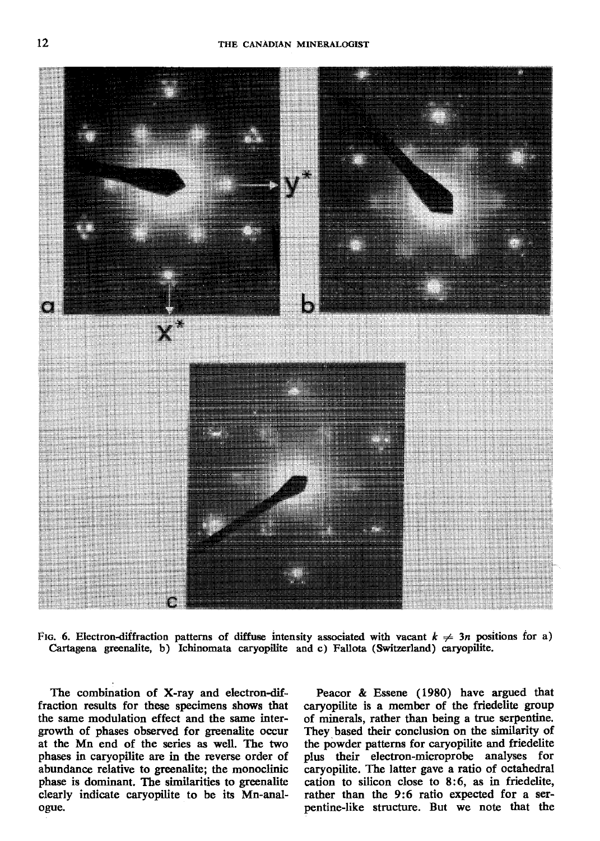

Fig. 6. Electron-diffraction patterns of diffuse intensity associated with vacant  $k \neq 3n$  positions for a) Cartagena greenalite, b) Ichinomata caryopilite and c) Fallota (Switzerland) caryopilite.

The combination of X-ray and electron-diffraction results for these specimens shows that the same modulation effect and the same intergrowth of phases observed for greenalite occur at the Mn end of the series as well. The two phases in caryopilite are in the reverse order of abundance relative to greenalite; the monoclinic phase is dominant. The similarities to greenalite clearly indicate caryopilite to be its Mn-analogue.

Peacor & Essene (1980) have argued that caryopilite is a member of the friedelite group of minerals, rather than being a true serpentine. They based their conclusion on the similarity of the powder patterns for caryopilite and friedelite plus their electron-microprobe analyses for<br>caryopilite. The latter gave a ratio of octahedral cation to silicon close to 8:6, as in friedelite, rather than the 9:6 ratio expected for a serpentine-like structure. But we note that the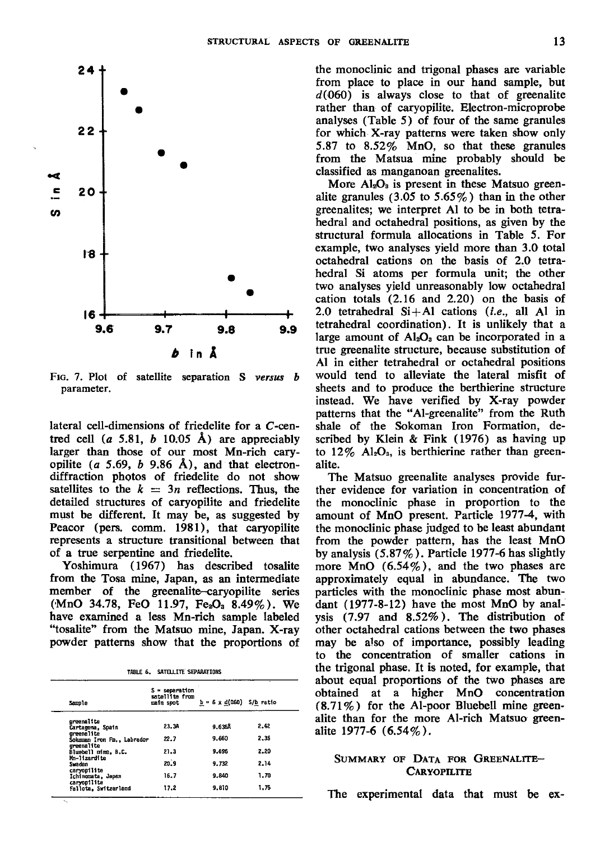

FIG. 7. Plot of satellite separation S versus b parameter.

lateral cell-dimensions of friedelite for a C-centred cell (a 5.81, b 10.05 Å) are appreciably larger than those of our most Mn-rich caryopilite (a 5.69, b 9.86 Å), and that electrondiffraction phqtos of friedelite do not show satellites to the  $k = 3n$  reflections. Thus, the detailed structures of caryopilite and friedelite must be different. It may be, as suggested by Feacor (pers. comm. 1981), that caryopilite represents a structure transitional between that of a true serpentine and friedelite.

Yoshimura (1967) has described tosalite from the Tosa mine, Japan, as an intermediate member of the greenalite-caryopilite series  $(MnO 34.78, FeO 11.97, Fe<sub>2</sub>O<sub>3</sub> 8.49%)$ . We have examined a less Mn-rich sample labeled "tosalite" from the Matsuo mine, Japan. X-ray pwder patterns show that the proportions of

|  |  | TABLE 6. SATELLITE SEPARATIONS |
|--|--|--------------------------------|
|--|--|--------------------------------|

| <b>Sample</b>                            | S = separation<br>satellite from<br>main spot | $b = 6 \times d(060)$ S/b ratio |      |
|------------------------------------------|-----------------------------------------------|---------------------------------|------|
| greenalite                               |                                               |                                 |      |
| Cartagena, Spain                         | 23.34                                         | 9.6368                          | 2.42 |
| creenelite                               | 22.7                                          | 9.660                           | 2.35 |
| Sokoman Iron Fm., Labrador<br>oreenalite |                                               |                                 |      |
| Bluebell mine, B.C.                      | 21.3                                          | 9.696                           | 2.20 |
| Mn-11zardite                             |                                               |                                 |      |
| Sundan                                   | 20.9                                          | 9.732                           | 2.14 |
| caryopilite                              |                                               | 9.840                           | 1.70 |
| Ichinomata, Japan<br>caryopilite         | 16.7                                          |                                 |      |
| Fallota, Switzerland                     | 17.2                                          | 9.810                           | 1.75 |

the monoclinic and trigonal phases are yariable from place to place in our hand sample, but  $d(060)$  is always close to that of greenalite rather than of caryopilite. Electron-microprobe analyses (Table 5) of four of the same granules for which X-ray patterns were taken show only 5.87 to 8,52% MnO, so that these granules from the Matsua mine probably should be classified as manganoan greenalites.

More  $Al_2O_3$  is present in these Matsuo greenalite granules (3.05 to  $5.65\%$ ) than in the other greenalites; we interpret Al to be in both tetrahedral and octahedral positions, as given by the structural formula allocations in Table 5. For example, two analyses yield more than 3.0 total octahedral cations on the basis of 2.0 tetrahedral Si atoms per formula unit; the other two analyses yield unreasonably low octahedral cation totals  $(2.16$  and  $2.20)$  on the basis of 2.0 tetrahedral  $Si+Al$  cations (*i.e.*, all Al in tetrahedral coordination). It is unlikely that a large amount of  $Al<sub>2</sub>O<sub>3</sub>$  can be incorporated in a true greenalite structure, because substitution of Al in either tetrahedral or octahedral positions would tend to alleviate the lateral misfit of sheets and to produce the berthierine structure instead. We have verified by X-ray powder patterns that the "Al-greenalite" from the Ruth shale of the Sokoman Iron Formation, described by Klein & Fink (1976) as having up to  $12\%$  Al<sub>2</sub>O<sub>3</sub>, is berthierine rather than greenalite.

The Matsuo greenalite analyses provide further evidence for variation in concentration of the monoclinic phase in proportion to the amount of MnO present. Particle 1977-4, with the monoslinic phase judged to be least abundant from the powder pattern, has the least MnO by analysis  $(5.87\%)$ . Particle 1977-6 has slightly more MnO (6.54%), and the two phases are approximately equal in abundance. The two particles with the monoclinic phase most abundant  $(1977-8-12)$  have the most MnO by analysis  $(7.97 \text{ and } 8.52\%)$ . The distribution of other octahedral cations between the two phases may be also of importance, possibly leading to the concentration of smaller cations in the trigonal phase. It is noted, for example, that about equal proportions of the two phases are obtained at a higher MnO concentration (8.71%) for the Al-poor Bluebell mine greenalite than for the more Al-rich Matsuo greenalite 1977-6 (6.54%).

# SUMMARY OF DATA FOR GREENALITE-CARYOPILITE

The experimental data that must be ex-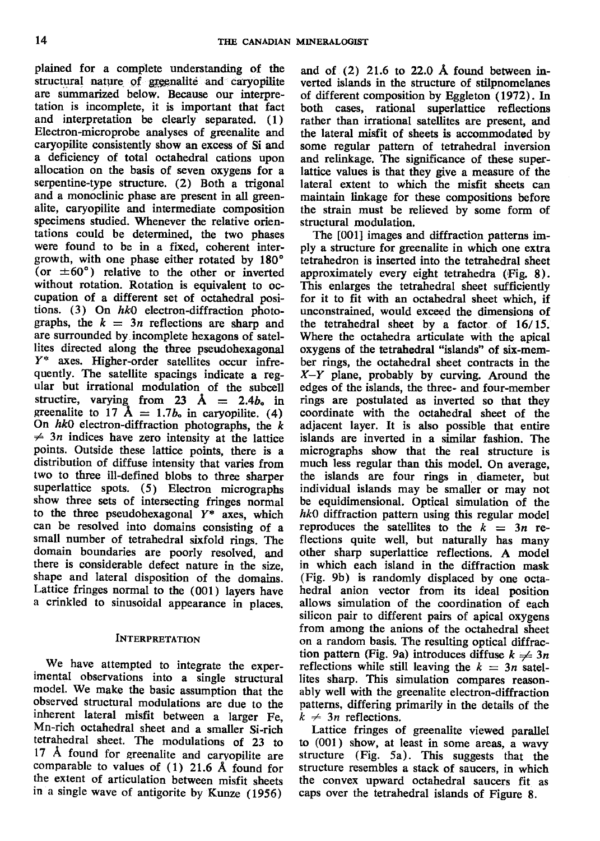plained for a complete understanding of the structural nature of greenalite and caryopilite are summarized below. Because our interpretation is incomplete, it is important that fact and interpretation be clearly separated. (1) Electron-microprobe analyses of greenalite and caryopilite consistently show an excess of Si and a deficiency of total octahedral cations upon allocation on the basis of seven oxygens for a serpentine-type structure. (2) Both a trigonal and a monoclinic phase are present in all greenalite, caryopilite and intermediate composition specimens studied. Whenever the relative orientations could be determined, the two phases were found to be in a fixed, coherent intergrowth, with one phase either rotated by 180' (or  $\pm 60^{\circ}$ ) relative to the other or inverted without rotation. Rotation is equivalent to occupation of a different set of octahedral positions. (3) On  $hk0$  electron-diffraction photographs, the  $k = 3n$  reflections are sharp and are surrounded by incomplete hexagons of satellites directed along the three pseudohexagonal Y\* axes. Higher-order satellites occur infrequently. The satellite spacings indicate a regular but irrational modulation of the subcell structire, varying from 23  $\AA = 2.4b_0$  in greenalite to 17  $\AA = 1.7b_0$  in caryopilite. (4) On  $hk0$  electron-diffraction photographs, the  $k$  $\neq$  3n indices have zero intensity at the lattice points. Outside these lattice points, there is a distribution of diffuse intensity that varies from two to three ill-defined blobs to three sharper superlattice spots. (5) Electron micrographs show three sets of intersecting fringes normal to the three pseudohexagonal Y\* axes, which can be resolved into domains consisting of a small number of tetrahedral sixfold rings. The domain boundaries are poorly resolved, and there is considerable defect nature in the size, shape and lateral disposition of the domains. Lattice fringes normal to the (001) layers have a crinkled to sinusoidal appearance in places.

# INTERPRETATION

We have attempted to integrate the experimental observations into a single structural model. We make the basic assumption that the observed structural modulations are due to the inherent lateral misfit between a larger Fe, Mn-rich octahedral sheet and a smaller Si-rich tetrahedral sheet. The modulations of 23 to 17 A found for greenalite and caryopilite are comparable to values of (l) 2l.6 A found for the extent of articulation between misfit sheets in a single wave of antigorite by Kunze (1956)

and of (2) 21.6 to 22.0 Å found between inverted islands in the structure of stilpnomelanes of different composition by Eggleton  $(1972)$ . In both cases, rational superlattice reflections rather than irrational satellites are present, and the lateral misfit of sheets is accommodated by some regular pattern of tetrahedral inversion and relinkage. The significance of these superlattice values is that they give a measure of the lateral extent to which the misfit sheets can maintain linkage for these compositions before the strain must be relieved by some form of structural modulation.

The [0O1] images and diffraction patterns imply a structure for greenalite in which one extra tetrahedron is inserted into the tetrahedral sheet approximately every eight tetrahedra  $(Fig. 8)$ . This enlarges the tetrahedral sheet sufficiently for it to fit with an octahedral sheet which, if unconstrained, would exceed the dimensions of the tetrahedral sheet by a factor of. 16/ 15. Where the octahedra articulate with the apical oxygens of the tetrahedral "islands" of six-member rings, the octahedral sheet contracts in the  $X-Y$  plane, probably by curving. Around the edges of the islands, the three- and four-member rings are postulated as inverted so that they coordinate with the octahedral sheet of the adjacent layer. It is also possible that entire islands are inverted in a similar fashion. The micrographs show that the real structure is much less regular than this model. On average, the islands are four rings in. diameter, but individual islands may be smaller or may not be equidimensional. Optical simulation of the  $hk0$  diffraction pattern using this regular model reproduces the satellites to the  $k = 3n$  reflections quite well, but naturally has many other sharp superlattice reflections. A model in which each island in the diffraction mask (Fig. 9b) is randomly displaced by one octahedral anion vector from its ideal position allows simulation of the coordination of each silicon pair to different pairs of apical oxygens from among the anions of the octahedral sheet on a random basis. The resulting optical diffraction pattern (Fig. 9a) introduces diffuse  $k \neq 3n$ reflections while still leaving the  $k = 3n$  satellites sharp. This simulation compares reasonably well with the greenalite electron-diffraction patterns, differing primarily in the details of the  $k \neq 3n$  reflections.

Lattice fringes of greenalite viewed parallel to (O01) show, at least in some areas, a wavy structure (Fig. 5a). This suggests that the structure resembles a stack of saucers, in which the convex upward octahedral saucers fit as caps over the tetrahedral islands of Figure 8.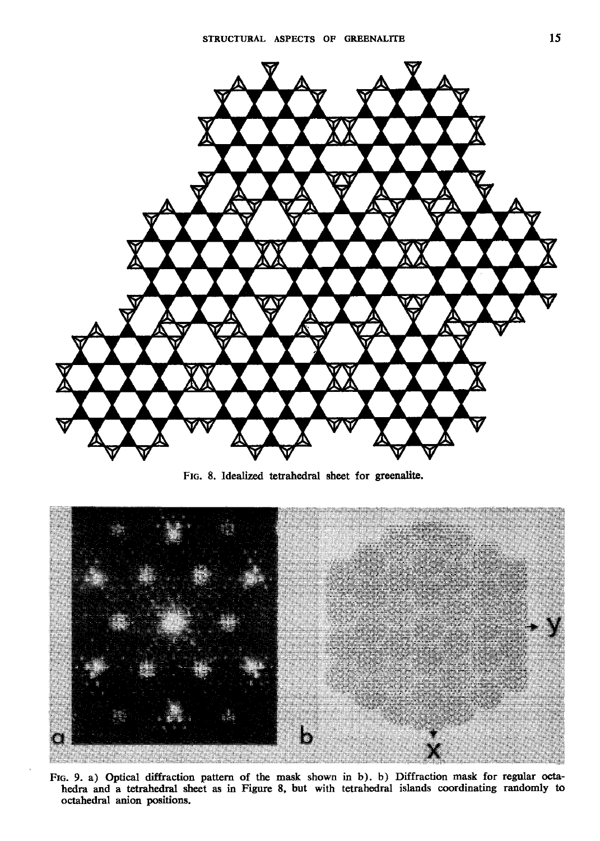

FIG. 8. Idealized tetrahedral sheet for greenalite.



FIG. 9. a) Optical diffraction pattern of the mask shown in b). b) Diffraction mask for regular octahedra and a tetrahedral sheet as in Figure 8, but with tetrahedral islands coordinating randomly to octahedral anion positions.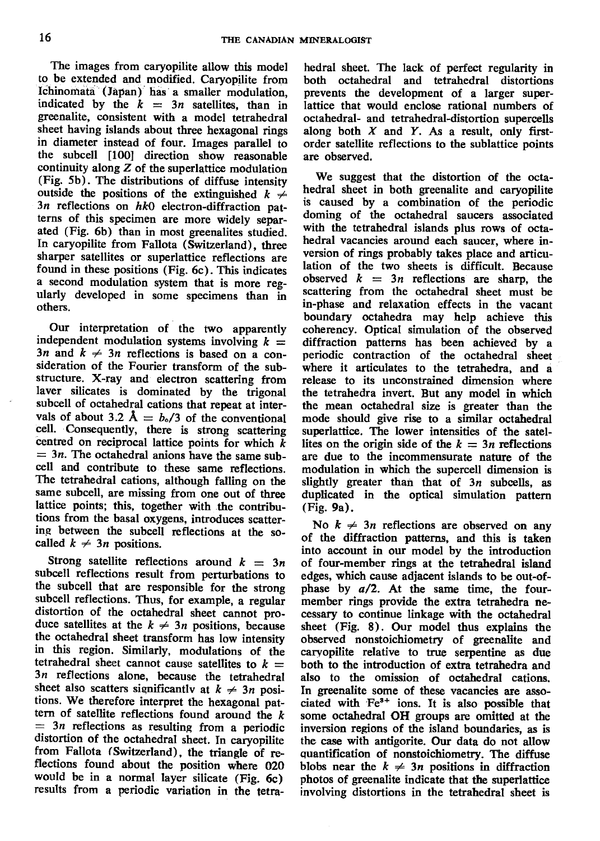The images from caryopilite allow this model to be extended and modified. Caryopilite from Ichinomata (Japan) has a smaller modulation, indicated by the  $k = 3n$  satellites, than in greenalite, consistent with a model tetrahedral sheet having islands about three hexagonal rings in diameter instead of four. Images parallel to the subcell [100] direction show reasonable continuity along  $Z$  of the superlattice modulation (Fig. 5b). The distributions of diftuse intensity outside the positions of the extinguished  $k \neq$  $3n$  reflections on  $hk0$  electron-diffraction patterns of this specimen are more widely separated (Fig. 6b) than in most greenalites studied. In caryopilite from Fallota (Switzerland), three sharper satellites or superlattice reflections are found in these positions (Fig. 6c). This indicates a second modulation system that is more regularly developed in some specimens than in others.

Our interpretation of the two apparently independent modulation systems involving  $k =$ 3n and  $k \neq 3n$  reflections is based on a consideration of the Fourier transform of the substructure. X-ray and electron scattering from laver silicates is dominated by the trigonal subcell of octahedral cations that repeat at intervals of about 3.2  $\AA = b_0/3$  of the conventional cell. Consequently, there is strong scattering centred on reciprocal lattice points for which  $\bar{k}$  $=$  3*n*. The octahedral anions have the same subcell and contribute to these same reflections. The tetrahedral cations, although falling on the same subcell, are missing from one out of three lattice points; this, together with the contributions from the basal oxygens, introduces scattering between the subcell reflections at the socalled  $k \neq 3n$  positions.

Strong satellite reflections around  $k = 3n$ subcell reflections result from perturbations to the subcell that are responsible for the strong subcell reflections. Thus, for example, a regular distortion of the octahedral sheet cannot produce satellites at the  $k \neq 3n$  positions, because the octahedral sheet transform has low intensity in this region. Similarly, modulations of the tetrahedral sheet cannot cause satellites to  $k =$  $3n$  reflections alone, because the tetrahedral sheet also scatters significantly at  $k \neq 3n$  positions. We therefore interpret the hexagonal pattern of satellite reflections found around the  $k$  $=$  3n reflections as resulting from a periodic distortion of the octahedral sheet. In caryopilite from Fallota (Switzerland), the triangle of reflections found about the position where 020 would be in a normal layer silicate (Fig. 6c) results from a periodic variation in the tetra-

hedral sheet. The lack of perfect regularity in both octahedral and tetrahedral distortions prevents the development of a larger superlattice that would enclose rational numbers of octahedral- and tetrahedral-distortion supercells along both  $X$  and  $Y$ . As a result, only firstorder satellite reflections to the sublattice points are observed.

We suggest that the distortion of the octahedral sheet in both greenalite and caryopilite is caused by a combination of the periodic doming of the octahedral saucers associated with the tetrahedral islands plus rows of octahedral vacancies around each saucer. where inversion of rings probably takes place and articulation of the two sheets is difficult. Because observed  $k = 3n$  reflections are sharp, the scattering from the octahedral sheet must be in-phase and relaxation effects in the vacant boundary octahedra may help achieve this coherency. Optical simulation of the observed diffraction patterns has been achieved by a periodic contraction of the octahedral sheet where it articulates to the tetrahedra, and a release to its unconstrained dimension where the tetrahedra invert. But any model in which the mean octahedral size is greater than the mode should give rise to a similar octahedral superlattice. The lower intensities of the satellites on the origin side of the  $k = 3n$  reflections are due to the incommensurate nature of the modulation in which the supercell dimension is slightly greater than that of  $3n$  subcells, as duplicated in the optical simulation pattern (Fie. 9a).

No  $k \neq 3n$  reflections are observed on any of the diffraction patterns, and this is taken into account in our model by the introduction of four-member rings at the tetrahedral island edges, which cause adjacent islands to be out-ofphase by  $a/2$ . At the same time, the fourmember rings provide the extra tetrahedra necessary to continue linkage with the octahedral sheet (Fig. 8). Our model thus explains the observed nonstoichiometry of greenalite and caryopilite relative to true serpentine as due both to the introduction of extra tetrahedra and also to the omission of octahedral cations. In greenalite some of these vacancies are associated with Fe<sup>3+</sup> ions. It is also possible that some octahedral OH groups are omitted at the inversion regions of the island boundaries, as is the case with antigorite. Our data do not allow guantification of nonstoichiometry. The diffuse blobs near the  $k \neq 3n$  positions in diffraction photos of greenalite indicate that the superlattice involving distortions in the tetrahedral sheet is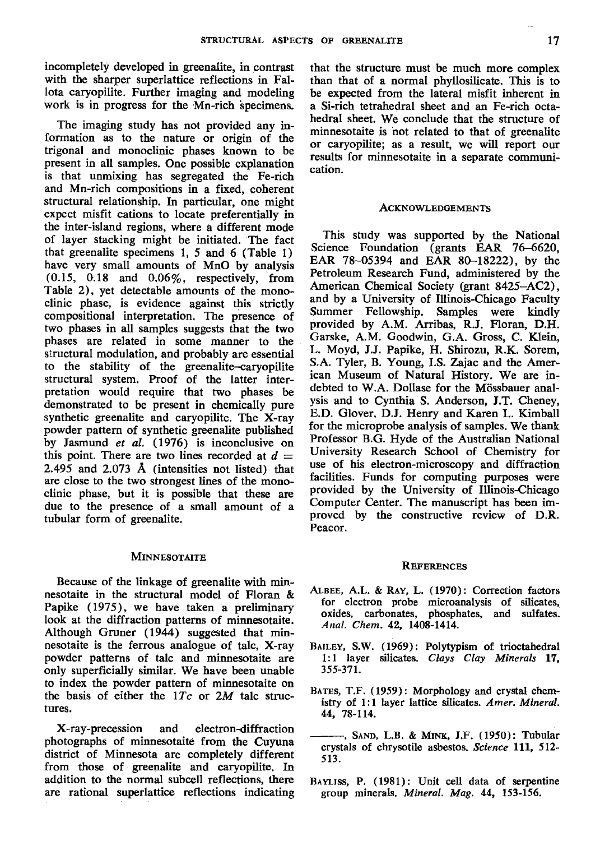incompletely developed in greenalite, in contrast with the sharper superlattice reflections in Fallota caryopilite. Further imaging and modeling work is in progress for the Mn-rich specimens.

The imaging study has not provided any information as to the nature or origin of the trigonal and monoclinic phases known to be present in all samples. One possible explanation is that unmixing has segregated the Fe-rich and Mn-rich compositions in a fixed, coherent structural relationship. In particular, one might expect misfit cations to locate preferentially in the inter-island regions, where a different mode of layer stacking might be initiated. The fact that greenalite specimens l, 5 and 6 (Table 1) have very small amounts of MnO by analysis  $(0.15, 0.18$  and  $0.06\%$ , respectively, from Table 2), yet detectable amounts of the monoclinic phase, is evidence against this strictly compositional interpretation. The presence of two phases in all samples suggests that the two phases are related in some manner to the structural modulation, and probably are essential to the stability of the greenalite-caryopilite structural system. Proof of the latter interpretation would require that two phases be demonstrated to be present in chemically pure synthetic greenalite and caryopilite. The X-ray powder pattern of synthetic greenalite published by Jasmund et al. (1976) is inconclusive on this point. There are two lines recorded at  $d =$ 2.495 and  $2.073 \text{ Å}$  (intensities not listed) that are close to the two strongest lines of the monoclinic phase, but it is possible that these are due to the presence of a small amount of a tubular form of greenalite.

#### **MINNESOTAITE**

Because of the linkage of greenalite with minnesotaite in the structural model of Floran & Papike (1975), we have taken a preliminary look at the diffraction patterns of minnesotaite. Although Gruner (1944) suggested that minnesotaite is the ferrous analogue of talc, X-ray powder patterns of talc and minnesotaite are only superficially similar. We have been unable to index the powder pattern of minnesotaite on the basis of either the  $1Tc$  or  $2M$  talc structures.

X-ray-precession and electron-diffraction photographs of minnesotaite from the Cuyuna district of Minnesota are completely different from those of greenalite and caryopilite. In addition to the normal subcell reflections, there are rational superlattice reflections indicating

that the structure.must be much more complex than that of a normal phyllosilicate. This is to be expected from the lateral misfit inherent in a Si-rich tetrahedral sheet and an Fe-rich octahedral sheet. We conclude that the structure of minnesotaite is not related to that of greenalite or caryopilite; as a result, we will report our results for minnesotaite in a separate communication.

#### ACKNowLEDGEMENTS

This study was supported by the National Science Foundation (grants EAR 76-6620, EAR 78-05394 and EAR 80-18222), by the Petroleum Research Fund, administered by the American Chemical Society (grant 8425-AC2), and by a University of lllinois-Chicago Faculty Summer Fellowship. Samples were kindly provided by A.M. Arribas, R.J. Floran, D.H. Garske, A.M. Goodwin, G.A. Gross, C. Klein, L. Moyd, J.J. Papike, H. Shirozu, R.K. Sorem, S.A. Tyler, B. Young, I.S. Zajac and the American Museum of Natural History. We are indebted to W.A. Dollase for the Mössbauer analysis and to Cynthia S. Anderson, J.T. Cheney, E.D. Glover, D.J. Henry and Karen L. Kimball for the microprobe analysis of samples. We thank Professor B.G. Hyde of the Australian National University Research School of Chemistry for use of his electron-microscopy and diffraction facilities. Funds for computing purposes were provided by the University of Illinois-Chicago Computer Center. The manuscript has been improved by the constructive review of D.R. Peacor.

#### **REFERENCES**

- ALBEE, A.L. & RAY, L. (1970): Correction factors for electron probe microanalysis of silicates, oxides, carbonates, phosphates, and sulfates. Anal. Chem. 42, 1408-1414.
- BAILEv, S.W. (1969): Polytypism of trioctahedral 1:1 layer silicates. Clays Clay Minerals 17, 355-371.
- Barrs, T.F. (1959): Morphology and crystal chemistry of 1:1 layer lattice silicates. Amer. Mineral. 44, 78-114.
- -, SAND, L.B. & MINK, J.F. (1950): Tubular crystals of chrysotile asbestos. Science 111, 512-513.
- BAYLISS, P. (1981): Unit cell data of serpentine group minerals. Mineral, Mag, 44, 153-156.